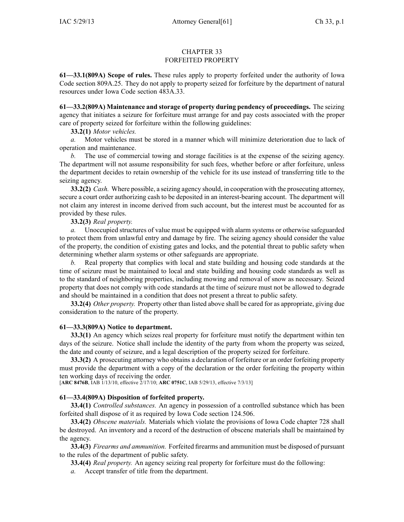### CHAPTER 33 FORFEITED PROPERTY

**61—33.1(809A) Scope of rules.** These rules apply to property forfeited under the authority of Iowa Code section 809A.25. They do not apply to property seized for forfeiture by the department of natural resources under Iowa Code section 483A.33.

**61—33.2(809A) Maintenance and storage of property during pendency of proceedings.** The seizing agency that initiates <sup>a</sup> seizure for forfeiture must arrange for and pay costs associated with the proper care of property seized for forfeiture within the following guidelines:

# **33.2(1)** *Motor vehicles.*

*a.* Motor vehicles must be stored in <sup>a</sup> manner which will minimize deterioration due to lack of operation and maintenance.

*b.* The use of commercial towing and storage facilities is at the expense of the seizing agency. The department will not assume responsibility for such fees, whether before or after forfeiture, unless the department decides to retain ownership of the vehicle for its use instead of transferring title to the seizing agency.

**33.2(2)** *Cash.* Where possible, <sup>a</sup> seizing agency should, in cooperation with the prosecuting attorney, secure <sup>a</sup> court order authorizing cash to be deposited in an interest-bearing account. The department will not claim any interest in income derived from such account, but the interest must be accounted for as provided by these rules.

# **33.2(3)** *Real property.*

*a.* Unoccupied structures of value must be equipped with alarm systems or otherwise safeguarded to protect them from unlawful entry and damage by fire. The seizing agency should consider the value of the property, the condition of existing gates and locks, and the potential threat to public safety when determining whether alarm systems or other safeguards are appropriate.

*b.* Real property that complies with local and state building and housing code standards at the time of seizure must be maintained to local and state building and housing code standards as well as to the standard of neighboring properties, including mowing and removal of snow as necessary. Seized property that does not comply with code standards at the time of seizure must not be allowed to degrade and should be maintained in <sup>a</sup> condition that does not presen<sup>t</sup> <sup>a</sup> threat to public safety.

**33.2(4)** *Other property.* Property other than listed above shall be cared for as appropriate, giving due consideration to the nature of the property.

# **61—33.3(809A) Notice to department.**

**33.3(1)** An agency which seizes real property for forfeiture must notify the department within ten days of the seizure. Notice shall include the identity of the party from whom the property was seized, the date and county of seizure, and <sup>a</sup> legal description of the property seized for forfeiture.

**33.3(2)** A prosecuting attorney who obtains <sup>a</sup> declaration of forfeiture or an order forfeiting property must provide the department with <sup>a</sup> copy of the declaration or the order forfeiting the property within ten working days of receiving the order.

[**ARC 8476B**, IAB 1/13/10, effective 2/17/10; **ARC 0751C**, IAB 5/29/13, effective 7/3/13]

# **61—33.4(809A) Disposition of forfeited property.**

**33.4(1)** *Controlled substances.* An agency in possession of <sup>a</sup> controlled substance which has been forfeited shall dispose of it as required by Iowa Code section 124.506.

**33.4(2)** *Obscene materials.* Materials which violate the provisions of Iowa Code chapter 728 shall be destroyed. An inventory and <sup>a</sup> record of the destruction of obscene materials shall be maintained by the agency.

**33.4(3)** *Firearms and ammunition.* Forfeited firearms and ammunition must be disposed of pursuan<sup>t</sup> to the rules of the department of public safety.

**33.4(4)** *Real property.* An agency seizing real property for forfeiture must do the following:

*a.* Accept transfer of title from the department.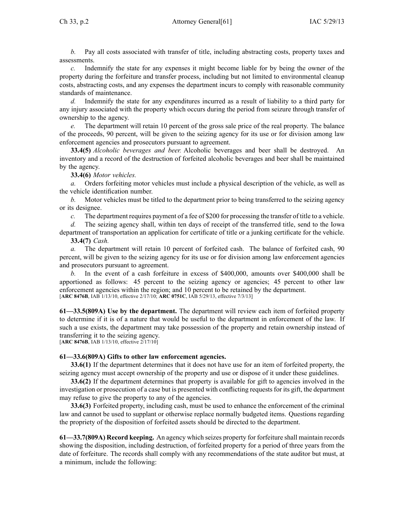*b.* Pay all costs associated with transfer of title, including abstracting costs, property taxes and assessments.

*c.* Indemnify the state for any expenses it might become liable for by being the owner of the property during the forfeiture and transfer process, including but not limited to environmental cleanup costs, abstracting costs, and any expenses the department incurs to comply with reasonable community standards of maintenance.

*d.* Indemnify the state for any expenditures incurred as <sup>a</sup> result of liability to <sup>a</sup> third party for any injury associated with the property which occurs during the period from seizure through transfer of ownership to the agency.

*e.* The department will retain 10 percen<sup>t</sup> of the gross sale price of the real property. The balance of the proceeds, 90 percent, will be given to the seizing agency for its use or for division among law enforcement agencies and prosecutors pursuan<sup>t</sup> to agreement.

**33.4(5)** *Alcoholic beverages and beer.* Alcoholic beverages and beer shall be destroyed. An inventory and <sup>a</sup> record of the destruction of forfeited alcoholic beverages and beer shall be maintained by the agency.

### **33.4(6)** *Motor vehicles.*

*a.* Orders forfeiting motor vehicles must include <sup>a</sup> physical description of the vehicle, as well as the vehicle identification number.

*b.* Motor vehicles must be titled to the department prior to being transferred to the seizing agency or its designee.

*c.* The department requires paymen<sup>t</sup> of <sup>a</sup> fee of \$200 for processing the transfer of title to <sup>a</sup> vehicle.

*d.* The seizing agency shall, within ten days of receipt of the transferred title, send to the Iowa department of transportation an application for certificate of title or <sup>a</sup> junking certificate for the vehicle.

### **33.4(7)** *Cash.*

*a.* The department will retain 10 percen<sup>t</sup> of forfeited cash. The balance of forfeited cash, 90 percent, will be given to the seizing agency for its use or for division among law enforcement agencies and prosecutors pursuan<sup>t</sup> to agreement.

*b.* In the event of <sup>a</sup> cash forfeiture in excess of \$400,000, amounts over \$400,000 shall be apportioned as follows: 45 percen<sup>t</sup> to the seizing agency or agencies; 45 percen<sup>t</sup> to other law enforcement agencies within the region; and 10 percen<sup>t</sup> to be retained by the department. [**ARC 8476B**, IAB 1/13/10, effective 2/17/10; **ARC 0751C**, IAB 5/29/13, effective 7/3/13]

**61—33.5(809A) Use by the department.** The department will review each item of forfeited property to determine if it is of <sup>a</sup> nature that would be useful to the department in enforcement of the law. If such <sup>a</sup> use exists, the department may take possession of the property and retain ownership instead of transferring it to the seizing agency. [**ARC 8476B**, IAB 1/13/10, effective 2/17/10]

# **61—33.6(809A) Gifts to other law enforcement agencies.**

**33.6(1)** If the department determines that it does not have use for an item of forfeited property, the seizing agency must accep<sup>t</sup> ownership of the property and use or dispose of it under these guidelines.

**33.6(2)** If the department determines that property is available for gift to agencies involved in the investigation or prosecution of <sup>a</sup> case but is presented with conflicting requestsfor its gift, the department may refuse to give the property to any of the agencies.

**33.6(3)** Forfeited property, including cash, must be used to enhance the enforcement of the criminal law and cannot be used to supplant or otherwise replace normally budgeted items. Questions regarding the propriety of the disposition of forfeited assets should be directed to the department.

**61—33.7(809A) Record keeping.** An agency which seizes property for forfeiture shall maintain records showing the disposition, including destruction, of forfeited property for <sup>a</sup> period of three years from the date of forfeiture. The records shall comply with any recommendations of the state auditor but must, at <sup>a</sup> minimum, include the following: